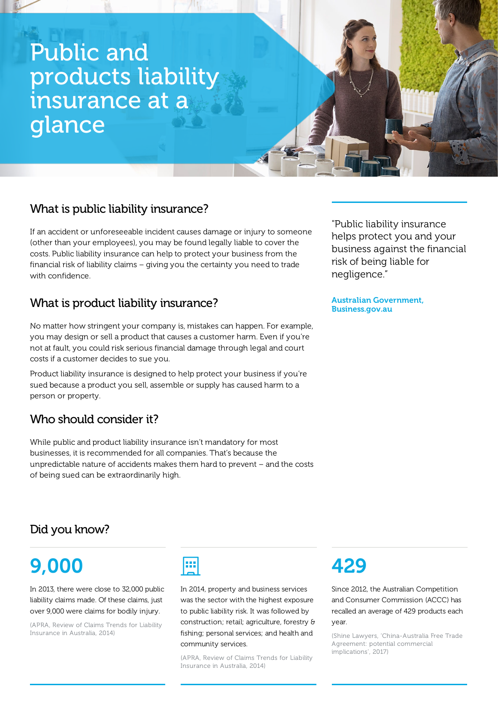# Public and products liability insurance at a glance

## What is public liability insurance?

If an accident or unforeseeable incident causes damage or injury to someone (other than your employees), you may be found legally liable to cover the costs. Public liability insurance can help to protect your business from the financial risk of liability claims – giving you the certainty you need to trade with confidence.

## What is product liability insurance?

No matter how stringent your company is, mistakes can happen. For example, you may design or sell a product that causes a customer harm. Even if you're not at fault, you could risk serious financial damage through legal and court costs if a customer decides to sue you.

Product liability insurance is designed to help protect your business if you're sued because a product you sell, assemble or supply has caused harm to a person or property.

### Who should consider it?

While public and product liability insurance isn't mandatory for most businesses, it is recommended for all companies. That's because the unpredictable nature of accidents makes them hard to prevent – and the costs of being sued can be extraordinarily high.

"Public liability insurance helps protect you and your business against the financial risk of being liable for negligence."

Australian Government, Business.gov.au

# Did you know?

# 9,000

In 2013, there were close to 32,000 public liability claims made. Of these claims, just over 9,000 were claims for bodily injury.

(APRA, Review of Claims Trends for Liability Insurance in Australia, 2014)



In 2014, property and business services was the sector with the highest exposure to public liability risk. It was followed by construction; retail; agriculture, forestry & fishing; personal services; and health and community services.

(APRA, Review of Claims Trends for Liability Insurance in Australia, 2014)

# 429

Since 2012, the Australian Competition and Consumer Commission (ACCC) has recalled an average of 429 products each year.

(Shine Lawyers, 'China-Australia Free Trade Agreement: potential commercial implications', 2017)